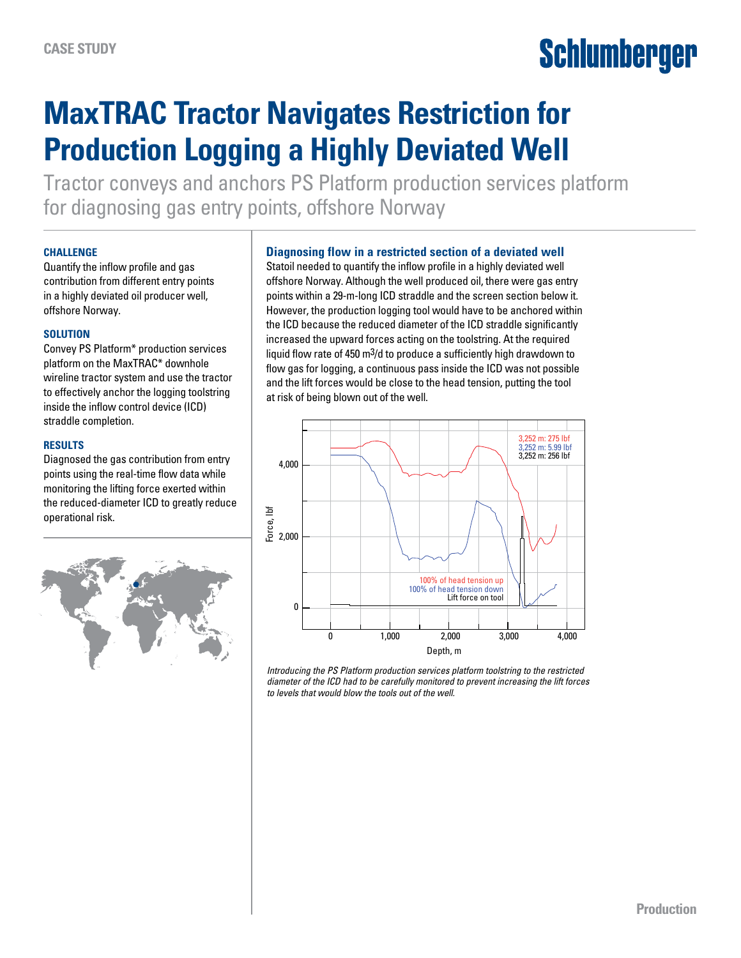# Schlumberger

# **MaxTRAC Tractor Navigates Restriction for Production Logging a Highly Deviated Well**

Tractor conveys and anchors PS Platform production services platform for diagnosing gas entry points, offshore Norway

#### **CHALLENGE**

Quantify the inflow profile and gas contribution from different entry points in a highly deviated oil producer well, offshore Norway.

#### **SOLUTION**

Convey PS Platform\* production services platform on the MaxTRAC\* downhole wireline tractor system and use the tractor to effectively anchor the logging toolstring inside the inflow control device (ICD) straddle completion.

#### **RESULTS**

Diagnosed the gas contribution from entry points using the real-time flow data while monitoring the lifting force exerted within the reduced-diameter ICD to greatly reduce operational risk.



## **Diagnosing flow in a restricted section of a deviated well**

Statoil needed to quantify the inflow profile in a highly deviated well offshore Norway. Although the well produced oil, there were gas entry points within a 29-m-long ICD straddle and the screen section below it. However, the production logging tool would have to be anchored within the ICD because the reduced diameter of the ICD straddle significantly increased the upward forces acting on the toolstring. At the required liquid flow rate of 450 m3/d to produce a sufficiently high drawdown to flow gas for logging, a continuous pass inside the ICD was not possible and the lift forces would be close to the head tension, putting the tool at risk of being blown out of the well.



*Introducing the PS Platform production services platform toolstring to the restricted diameter of the ICD had to be carefully monitored to prevent increasing the lift forces to levels that would blow the tools out of the well.*